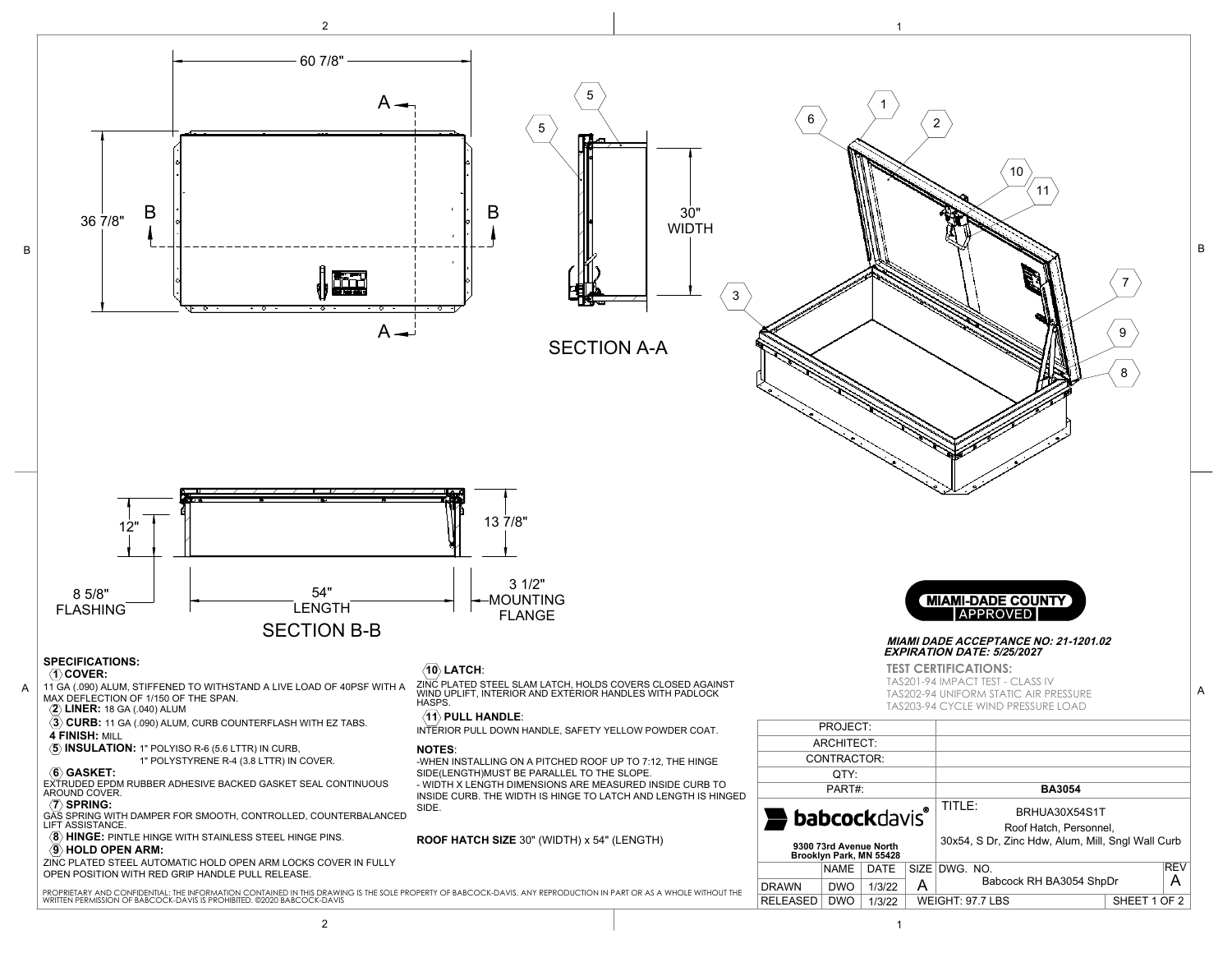